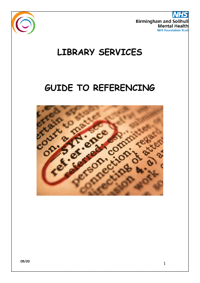

**Birmingham and Soliho Mental Healt NHS Foundation Trus** 

# **LIBRARY SERVICES**

# **GUIDE TO REFERENCING**

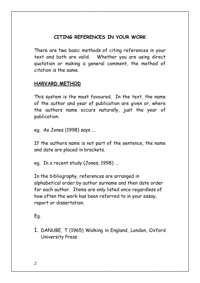## **CITING REFERENCES IN YOUR WORK**

There are two basic methods of citing references in your text and both are valid. Whether you are using direct quotation or making a general comment, the method of citation is the same.

#### **HARVARD METHOD**

This system is the most favoured. In the text, the name of the author and year of publication are given or, where the authors name occurs naturally, just the year of publication.

eg. As Jones (1998) says ….

If the authors name is not part of the sentence, the name and date are placed in brackets.

eg. In a recent study (Jones, 1998) ….

In the bibliography, references are arranged in alphabetical order by author surname and then date order for each author. Items are only listed once regardless of how often the work has been referred to in your essay, report or dissertation.

### Eg.

1. DANUBE, T (1965) Walking in England, London, Oxford University Press

2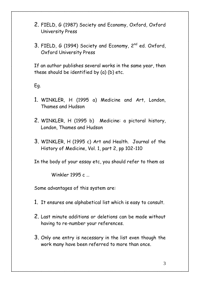- 2. FIELD, G (1987) Society and Economy, Oxford, Oxford University Press
- 3. FIELD, G (1994) Society and Economy, 2<sup>nd</sup> ed. Oxford, Oxford University Press

If an author publishes several works in the same year, then these should be identified by (a) (b) etc.

Eg.

- 1. WINKLER, H (1995 a) Medicine and Art, London, Thames and Hudson
- 2. WINKLER, H (1995 b) Medicine: a pictoral history, London, Thames and Hudson
- 3. WINKLER, H (1995 c) Art and Health. Journal of the History of Medicine, Vol. 1, part 2, pp 102-110

In the body of your essay etc, you should refer to them as

Winkler 1995 c

Some advantages of this system are:

- 1. It ensures one alphabetical list which is easy to consult.
- 2. Last minute additions or deletions can be made without having to re-number your references.
- 3. Only one entry is necessary in the list even though the work many have been referred to more than once.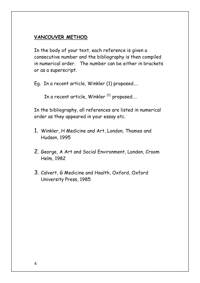#### **VANCOUVER METHOD**

In the body of your text, each reference is given a consecutive number and the bibliography is then compiled in numerical order. The number can be either in brackets or as a superscript.

Eg. In a recent article, Winkler (1) proposed….

In a recent article, Winkler $^{(1)}$  proposed...

In the bibliography, all references are listed in numerical order as they appeared in your essay etc.

- 1. Winkler, H Medicine and Art, London, Thames and Hudson, 1995
- 2. George, A Art and Social Environment, London, Croom Helm, 1982
- 3. Calvert, G Medicine and Health, Oxford, Oxford University Press, 1985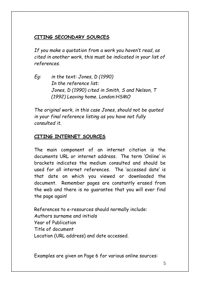# **CITING SECONDARY SOURCES**

*If you make a quotation from a work you haven't read, as cited in another work, this must be indicated in your list of references.*

*Eg: in the text: Jones, D (1990) In the reference list: Jones, D (1990) cited in Smith, S and Nelson, T (1992) Leaving home. London:HSMO*

*The original work, in this case Jones, should not be quoted in your final reference listing as you have not fully consulted it.*

## **CITING INTERNET SOURCES**

The main component of an internet citation is the documents URL or internet address. The term 'Online' in brackets indicates the medium consulted and should be used for all internet references. The 'accessed date' is that date on which you viewed or downloaded the document. Remember pages are constantly erased from the web and there is no guarantee that you will ever find the page again!

References to e-resources should normally include: Authors surname and initials Year of Publication Title of document Location (URL address) and date accessed.

Examples are given on Page 6 for various online sources: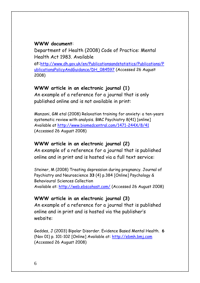#### **WWW document**:

Department of Health (2008) Code of Practice: Mental Health Act 1983. Available

at:[http://www.dh.gov.uk/en/Publicationsandstatistics/Publications/P](http://www.dh.gov.uk/en/Publicationsandstatistics/Publications/PublicationsPolicyAndGuidance/DH_084597) [ublicationsPolicyAndGuidance/DH\\_084597](http://www.dh.gov.uk/en/Publicationsandstatistics/Publications/PublicationsPolicyAndGuidance/DH_084597) (Accessed 26 August 2008)

#### **WWW article in an electronic journal (1)**

An example of a reference for a journal that is only published online and is not available in print:

Manzoni, GM etal (2008) Relaxation training for anxiety: a ten-years systematic review with analysis. BMC Psychiatry 8(41) [online] Available at<http://www.biomedcentral.com/1471-244X/8/41> (Accessed 26 August 2008)

#### **WWW article in an electronic journal (2)**

An example of a reference for a journal that is published online and in print and is hosted via a full text service:

Steiner, M (2008) Treating depression during pregnancy. Journal of Psychiatry and Neuroscience **33** (4) p.384 [Online] Psychology & Behavioural Sciences Collection Available at:<http://web.ebscohost.com/> (Accessed 26 August 2008)

# **WWW article in an electronic journal (3)**

An example of a reference for a journal that is published online and in print and is hosted via the publisher's website:

Geddes, J (2003) Bipolar Disorder. Evidence Based Mental Health. **6** (Nov 01) p. 101-102 [Online] Available at: [http://ebmh.bmj.com](http://ebmh.bmj.com/) (Accessed 26 August 2008)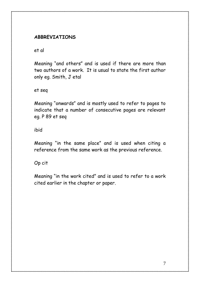### **ABBREVIATIONS**

et al

Meaning "and others" and is used if there are more than two authors of a work. It is usual to state the first author only eg. Smith, J etal

et seq

Meaning "onwards" and is mostly used to refer to pages to indicate that a number of consecutive pages are relevant eg. P 89 et seq

ibid

Meaning "in the same place" and is used when citing a reference from the same work as the previous reference.

Op cit

Meaning "in the work cited" and is used to refer to a work cited earlier in the chapter or paper.